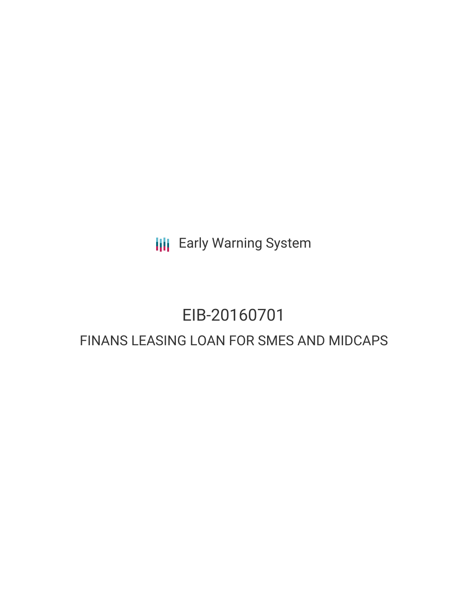**III** Early Warning System

# EIB-20160701

# FINANS LEASING LOAN FOR SMES AND MIDCAPS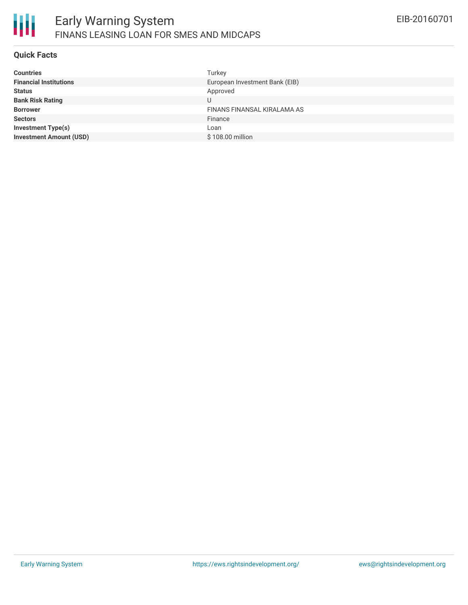

#### **Quick Facts**

| <b>Countries</b>               | Turkey                         |
|--------------------------------|--------------------------------|
| <b>Financial Institutions</b>  | European Investment Bank (EIB) |
| <b>Status</b>                  | Approved                       |
| <b>Bank Risk Rating</b>        |                                |
| <b>Borrower</b>                | FINANS FINANSAL KIRALAMA AS    |
| <b>Sectors</b>                 | Finance                        |
| Investment Type(s)             | Loan                           |
| <b>Investment Amount (USD)</b> | \$108.00 million               |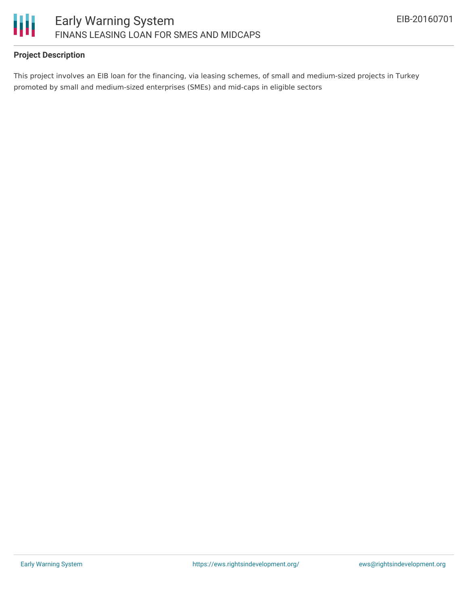

# **Project Description**

This project involves an EIB loan for the financing, via leasing schemes, of small and medium-sized projects in Turkey promoted by small and medium-sized enterprises (SMEs) and mid-caps in eligible sectors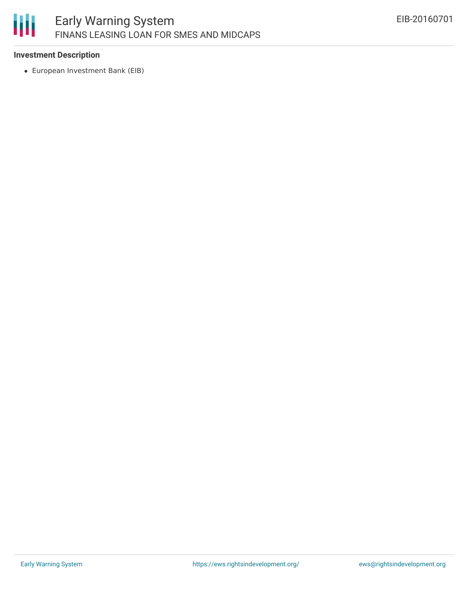

## **Investment Description**

European Investment Bank (EIB)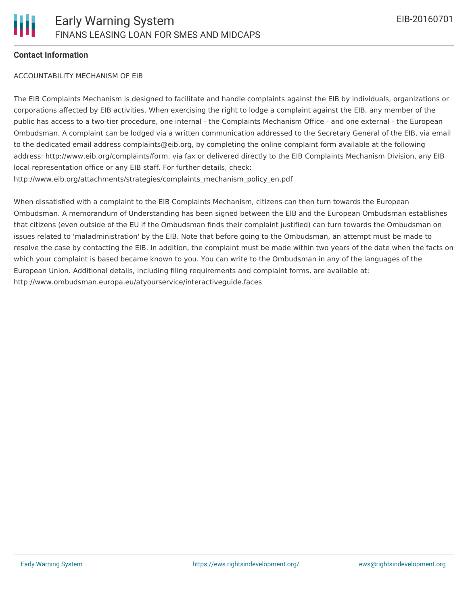#### **Contact Information**

#### ACCOUNTABILITY MECHANISM OF EIB

The EIB Complaints Mechanism is designed to facilitate and handle complaints against the EIB by individuals, organizations or corporations affected by EIB activities. When exercising the right to lodge a complaint against the EIB, any member of the public has access to a two-tier procedure, one internal - the Complaints Mechanism Office - and one external - the European Ombudsman. A complaint can be lodged via a written communication addressed to the Secretary General of the EIB, via email to the dedicated email address complaints@eib.org, by completing the online complaint form available at the following address: http://www.eib.org/complaints/form, via fax or delivered directly to the EIB Complaints Mechanism Division, any EIB local representation office or any EIB staff. For further details, check: http://www.eib.org/attachments/strategies/complaints\_mechanism\_policy\_en.pdf

When dissatisfied with a complaint to the EIB Complaints Mechanism, citizens can then turn towards the European Ombudsman. A memorandum of Understanding has been signed between the EIB and the European Ombudsman establishes that citizens (even outside of the EU if the Ombudsman finds their complaint justified) can turn towards the Ombudsman on issues related to 'maladministration' by the EIB. Note that before going to the Ombudsman, an attempt must be made to resolve the case by contacting the EIB. In addition, the complaint must be made within two years of the date when the facts on which your complaint is based became known to you. You can write to the Ombudsman in any of the languages of the European Union. Additional details, including filing requirements and complaint forms, are available at: http://www.ombudsman.europa.eu/atyourservice/interactiveguide.faces